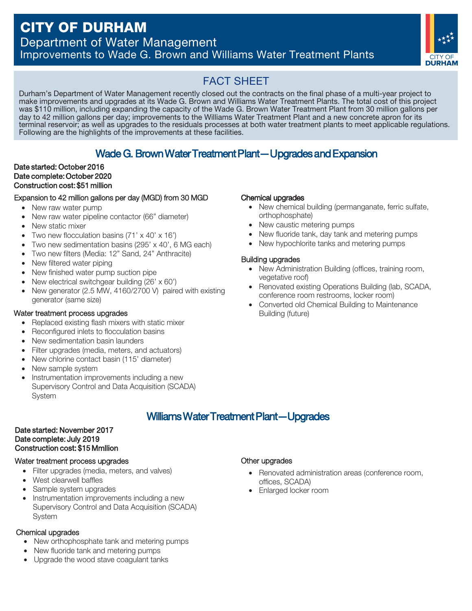# CITY OF DURHAM

Department of Water Management Improvements to Wade G. Brown and Williams Water Treatment Plants



# FACT SHEET

Durham's Department of Water Management recently closed out the contracts on the final phase of a multi-year project to make improvements and upgrades at its Wade G. Brown and Williams Water Treatment Plants. The total cost of this project was \$110 million, including expanding the capacity of the Wade G. Brown Water Treatment Plant from 30 million gallons per day to 42 million gallons per day; improvements to the Williams Water Treatment Plant and a new concrete apron for its terminal reservoir; as well as upgrades to the residuals processes at both water treatment plants to meet applicable regulations. Following are the highlights of the improvements at these facilities.

# Wade G. Brown Water Treatment Plant—Upgrades and Expansion

### Construction cost:\$51 million Date started: October 2016 Date complete: October 2020

### Expansion to 42 million gallons per day (MGD) from 30 MGD

- New raw water pump
- New raw water pipeline contactor (66" diameter)
- New static mixer
- Two new flocculation basins (71' x 40' x 16')
- Two new sedimentation basins (295' x 40', 6 MG each)
- Two new filters (Media: 12" Sand, 24" Anthracite)
- New filtered water piping
- New finished water pump suction pipe
- New electrical switchgear building (26' x 60')
- New generator (2.5 MW, 4160/2700 V) paired with existing generator (same size)

### Water treatment process upgrades

- Replaced existing flash mixers with static mixer
- Reconfigured inlets to flocculation basins
- New sedimentation basin launders
- Filter upgrades (media, meters, and actuators)
- New chlorine contact basin (115' diameter)
- New sample system
- Wade G. Broad<br>
Strober 2016<br>
Strober 2020<br>
Str. \$51 million<br>
2. million gallons per day (Moder pump<br>
Vater pump<br>
Vater pipeline contactor (6<br>
Enixer<br>
Ilocculation basins (71' x 4<br>
sedimentation basins (295<br>
ilters (Media: • Instrumentation improvements including a new Supervisory Control and Data Acquisition (SCADA) **System**

### orthophosphate) • New caustic metering pumps

Chemical upgrades

New fluoride tank, day tank and metering pumps

• New chemical building (permanganate, ferric sulfate,

• New hypochlorite tanks and metering pumps

### Building upgrades

- New Administration Building (offices, training room, vegetative roof)
- Renovated existing Operations Building (lab, SCADA, conference room restrooms, locker room)
- Converted old Chemical Building to Maintenance Building (future)

# Williams Water Treatment Plant—Upgrades

### Construction cost:\$15 Mmllion Date started: November 2017 Date complete: July 2019

### Water treatment process upgrades

- Filter upgrades (media, meters, and valves)
- West clearwell baffles
- Sample system upgrades
- Instrumentation improvements including a new Supervisory Control and Data Acquisition (SCADA) System

### Chemical upgrades

- New orthophosphate tank and metering pumps
- New fluoride tank and metering pumps
- Upgrade the wood stave coagulant tanks

### Other upgrades

- Renovated administration areas (conference room, offices, SCADA)
- Enlarged locker room